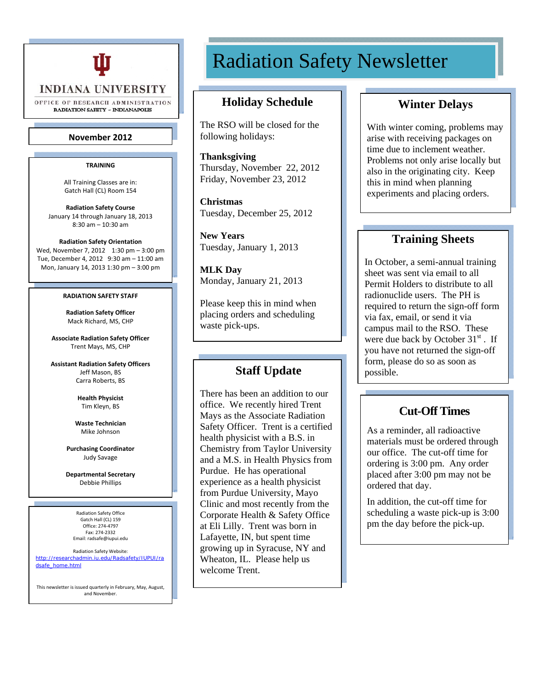

**INDIANA UNIVERSITY** 

OFFICE OF RESEARCH ADMINISTRATION **RADIATION SAFETY - INDIANAPOLIS** 

#### **November 2012**

#### **TRAINING**

All Training Classes are in: Gatch Hall (CL) Room 154

**Radiation Safety Course** January 14 through January 18, 2013 8:30 am – 10:30 am

#### **Radiation Safety Orientation**

Wed, November 7, 2012 1:30 pm - 3:00 pm Tue, December 4, 2012 9:30 am – 11:00 am Mon, January 14, 2013 1:30 pm – 3:00 pm

#### **RADIATION SAFETY STAFF**

**Radiation Safety Officer** Mack Richard, MS, CHP

**Associate Radiation Safety Officer** Trent Mays, MS, CHP

**Assistant Radiation Safety Officers** Jeff Mason, BS Carra Roberts, BS

> **Health Physicist** Tim Kleyn, BS

**Waste Technician** Mike Johnson

**Purchasing Coordinator** Judy Savage

**Departmental Secretary** Debbie Phillips

Radiation Safety Office Gatch Hall (CL) 159 Office: 274‐4797 Fax: 274‐2332 Email: radsafe@iupui.edu

Radiation Safety Website: http://researchadmin.iu.edu/Radsafety/IUPUI/ra dsafe\_home.html

This newsletter is issued quarterly in February, May, August, and November.

# Radiation Safety Newsletter

## **Holiday Schedule**

The RSO will be closed for the following holidays:

**Thanksgiving**  Thursday, November 22, 2012 Friday, November 23, 2012

**Christmas**  Tuesday, December 25, 2012

**New Years**  Tuesday, January 1, 2013

**MLK Day**  Monday, January 21, 2013

Please keep this in mind when placing orders and scheduling waste pick-ups.

#### **Staff Update**

experience as a health physicist There has been an addition to our office. We recently hired Trent Mays as the Associate Radiation Safety Officer. Trent is a certified health physicist with a B.S. in Chemistry from Taylor University and a M.S. in Health Physics from Purdue. He has operational from Purdue University, Mayo Clinic and most recently from the Corporate Health & Safety Office at Eli Lilly. Trent was born in Lafayette, IN, but spent time growing up in Syracuse, NY and Wheaton, IL. Please help us welcome Trent.

## **Winter Delays**

With winter coming, problems may arise with receiving packages on time due to inclement weather. Problems not only arise locally but also in the originating city. Keep this in mind when planning experiments and placing orders.

# **Training Sheets**

In October, a semi-annual training sheet was sent via email to all Permit Holders to distribute to all radionuclide users. The PH is required to return the sign-off form via fax, email, or send it via campus mail to the RSO. These were due back by October  $31<sup>st</sup>$ . If you have not returned the sign-off form, please do so as soon as possible.

# **Cut-Off Times**

As a reminder, all radioactive materials must be ordered through our office. The cut-off time for ordering is 3:00 pm. Any order placed after 3:00 pm may not be ordered that day.

In addition, the cut-off time for scheduling a waste pick-up is 3:00 pm the day before the pick-up.